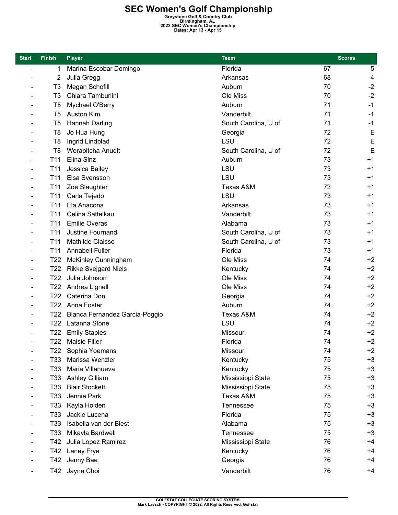**SEC Women's Golf Championship**<br> **Greystone Golf & Country Club**<br> **Birmingham, AL**<br> **Dates: Apr 13 - Apr 15**<br> **Dates: Apr 13 - Apr 15** 

| <b>Start</b>                 | <b>Finish</b>   | <b>Player</b>                  | Team                 | <b>Scores</b> |      |
|------------------------------|-----------------|--------------------------------|----------------------|---------------|------|
| $\blacksquare$               | 1               | Marina Escobar Domingo         | Florida              | 67            | -5   |
| $\qquad \qquad$              | 2               | Julia Gregg                    | Arkansas             | 68            | $-4$ |
| $\overline{\phantom{a}}$     | T <sub>3</sub>  | Megan Schofill                 | Auburn               | 70            | $-2$ |
|                              | T <sub>3</sub>  | Chiara Tamburlini              | Ole Miss             | 70            | $-2$ |
|                              | T <sub>5</sub>  | Mychael O'Berry                | Auburn               | 71            | $-1$ |
|                              | T <sub>5</sub>  | Auston Kim                     | Vanderbilt           | 71            | $-1$ |
|                              | T <sub>5</sub>  | Hannah Darling                 | South Carolina, U of | 71            | $-1$ |
|                              | T <sub>8</sub>  | Jo Hua Hung                    | Georgia              | 72            | E    |
|                              | T <sub>8</sub>  | Ingrid Lindblad                | LSU                  | 72            | E    |
|                              | T <sub>8</sub>  | Worapitcha Anudit              | South Carolina, U of | 72            | E    |
|                              | T11             | Elina Sinz                     | Auburn               | 73            | $+1$ |
|                              | T <sub>11</sub> | Jessica Bailey                 | LSU                  | 73            | $+1$ |
| $\overline{\phantom{0}}$     | T <sub>11</sub> | Elsa Svensson                  | LSU                  | 73            | $+1$ |
| $\overline{a}$               | T <sub>11</sub> | Zoe Slaughter                  | Texas A&M            | 73            | $+1$ |
|                              | T <sub>11</sub> | Carla Tejedo                   | LSU                  | 73            | $+1$ |
|                              | T11             | Ela Anacona                    | Arkansas             | 73            | $+1$ |
|                              | T11             | Celina Sattelkau               | Vanderbilt           | 73            | $+1$ |
| $\qquad \qquad \blacksquare$ | T11             | <b>Emilie Overas</b>           | Alabama              | 73            | $+1$ |
| $\qquad \qquad \blacksquare$ | T <sub>11</sub> | Justine Fournand               | South Carolina, U of | 73            | $+1$ |
| $\qquad \qquad$              | T <sub>11</sub> | Mathilde Claisse               | South Carolina, U of | 73            | $+1$ |
|                              | T <sub>11</sub> | <b>Annabell Fuller</b>         | Florida              | 73            | $+1$ |
|                              | T <sub>22</sub> | <b>McKinley Cunningham</b>     | Ole Miss             | 74            | $+2$ |
|                              | T <sub>22</sub> | <b>Rikke Svejgard Niels</b>    | Kentucky             | 74            | $+2$ |
| $\qquad \qquad \blacksquare$ | T <sub>22</sub> | Julia Johnson                  | Ole Miss             | 74            | $+2$ |
|                              | T <sub>22</sub> | Andrea Lignell                 | Ole Miss             | 74            | $+2$ |
|                              | T <sub>22</sub> | Caterina Don                   | Georgia              | 74            | $+2$ |
|                              | T <sub>22</sub> | Anna Foster                    | Auburn               | 74            | $+2$ |
|                              | T22             | Blanca Fernandez Garcia-Poggio | Texas A&M            | 74            | $+2$ |
|                              | T <sub>22</sub> | Latanna Stone                  | LSU                  | 74            | $+2$ |
|                              | T <sub>22</sub> | <b>Emily Staples</b>           | Missouri             | 74            | $+2$ |
| $\overline{\phantom{0}}$     | T22             | <b>Maisie Filler</b>           | Florida              | 74            | $+2$ |
| $\qquad \qquad \blacksquare$ | T22             | Sophia Yoemans                 | Missouri             | 74            | $+2$ |
| $\overline{\phantom{a}}$     | T33             | Marissa Wenzler                | Kentucky             | 75            | $+3$ |
|                              | T33             | Maria Villanueva               | Kentucky             | 75            | $+3$ |
| $\overline{a}$               | T33             | <b>Ashley Gilliam</b>          | Mississippi State    | 75            | $+3$ |
|                              | T33             | <b>Blair Stockett</b>          | Mississippi State    | 75            | $+3$ |
|                              | T33             | Jennie Park                    | Texas A&M            | 75            | $+3$ |
|                              | T33             | Kayla Holden                   | Tennessee            | 75            | $+3$ |
|                              | T33             | Jackie Lucena                  | Florida              | 75            | $+3$ |
|                              | T33             | Isabella van der Biest         | Alabama              | 75            | $+3$ |
|                              | T33             | Mikayla Bardwell               | Tennessee            | 75            | $+3$ |
|                              | T42             | Julia Lopez Ramirez            | Mississippi State    | 76            | $+4$ |
|                              | T42             | Laney Frye                     | Kentucky             | 76            | $+4$ |
|                              | T42             | Jenny Bae                      | Georgia              | 76            | $+4$ |
|                              | T42             | Jayna Choi                     | Vanderbilt           | 76            | $+4$ |